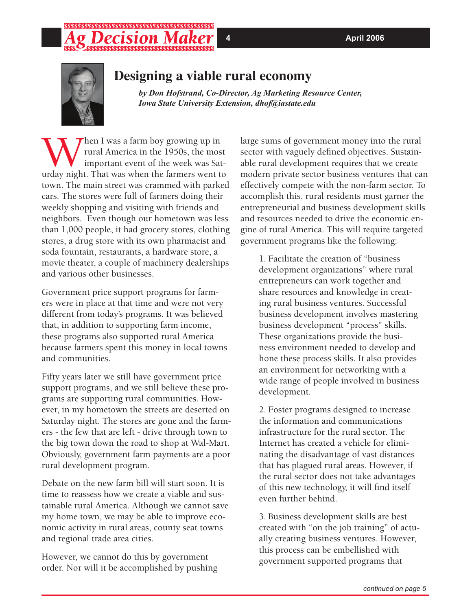## \*\*\*\*\*\*\*\*\*\*\*\*\*\*\*\*\*\*\*\*\*\*\* ;\$\$\$\$\$\$\$\$\$\$\$\$\$\$\$\$\$\$\$\$\$\$\$\$\$\$\$

3. Business development skills are best created with "on the job training" of actually creating business ventures. However, this process can be embellished with government supported programs that



## **Designing a viable rural economy**

*by Don Hofstrand, Co-Director, Ag Marketing Resource Center, Iowa State University Extension, dhof@iastate.edu*

When I was a farm boy growing up in<br>
rural America in the 1950s, the mos<br>
important event of the week was Sat<br>
urday night. That was when the farmers went to rural America in the 1950s, the most important event of the week was Saturday night. That was when the farmers went to town. The main street was crammed with parked cars. The stores were full of farmers doing their weekly shopping and visiting with friends and neighbors. Even though our hometown was less than 1,000 people, it had grocery stores, clothing stores, a drug store with its own pharmacist and soda fountain, restaurants, a hardware store, a movie theater, a couple of machinery dealerships and various other businesses.

Government price support programs for farmers were in place at that time and were not very different from today's programs. It was believed that, in addition to supporting farm income, these programs also supported rural America because farmers spent this money in local towns and communities.

Fifty years later we still have government price support programs, and we still believe these programs are supporting rural communities. However, in my hometown the streets are deserted on Saturday night. The stores are gone and the farmers - the few that are left - drive through town to the big town down the road to shop at Wal-Mart. Obviously, government farm payments are a poor rural development program.

Debate on the new farm bill will start soon. It is time to reassess how we create a viable and sustainable rural America. Although we cannot save my home town, we may be able to improve economic activity in rural areas, county seat towns and regional trade area cities.

However, we cannot do this by government order. Nor will it be accomplished by pushing large sums of government money into the rural sector with vaguely defined objectives. Sustainable rural development requires that we create modern private sector business ventures that can effectively compete with the non-farm sector. To accomplish this, rural residents must garner the entrepreneurial and business development skills and resources needed to drive the economic engine of rural America. This will require targeted government programs like the following:

1. Facilitate the creation of "business development organizations" where rural entrepreneurs can work together and share resources and knowledge in creating rural business ventures. Successful business development involves mastering business development "process" skills. These organizations provide the business environment needed to develop and hone these process skills. It also provides an environment for networking with a wide range of people involved in business development.

2. Foster programs designed to increase the information and communications infrastructure for the rural sector. The Internet has created a vehicle for eliminating the disadvantage of vast distances that has plagued rural areas. However, if the rural sector does not take advantages of this new technology, it will find itself even further behind.

**4** **April 2006**